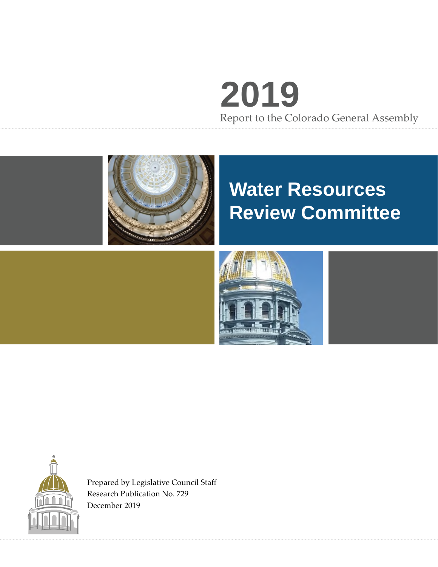# **2019** Report to the Colorado General Assembly



# **Water Resources Review Committee**





Prepared by Legislative Council Staff Research Publication No. 729 December 2019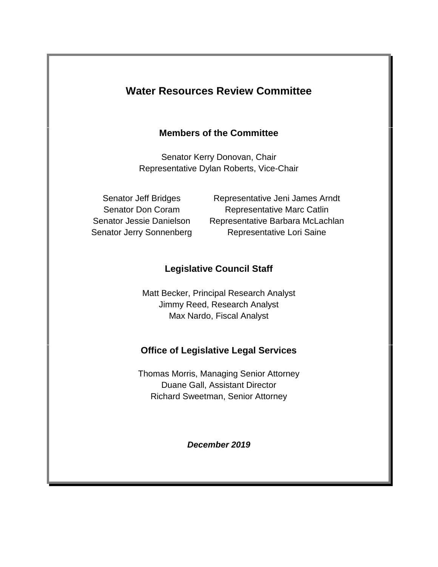# **Water Resources Review Committee**

## **Members of the Committee**

Senator Kerry Donovan, Chair Representative Dylan Roberts, Vice-Chair

Senator Jeff Bridges Representative Jeni James Arndt Senator Don Coram Representative Marc Catlin Senator Jessie Danielson Representative Barbara McLachlan Senator Jerry Sonnenberg Representative Lori Saine

# **Legislative Council Staff**

Matt Becker, Principal Research Analyst Jimmy Reed, Research Analyst Max Nardo, Fiscal Analyst

## **Office of Legislative Legal Services**

Thomas Morris, Managing Senior Attorney Duane Gall, Assistant Director Richard Sweetman, Senior Attorney

*December 2019*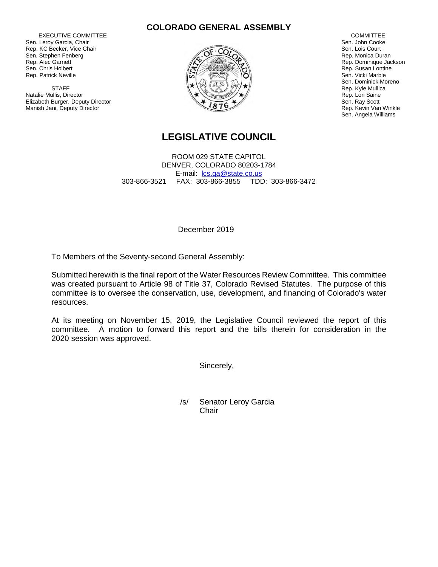EXECUTIVE COMMITTEE Sen. Leroy Garcia, Chair Rep. KC Becker, Vice Chair Sen. Stephen Fenberg Rep. Alec Garnett Sen. Chris Holbert Rep. Patrick Neville

**STAFF** Natalie Mullis, Director Elizabeth Burger, Deputy Director Manish Jani, Deputy Director





COMMITTEE Sen. John Cooke Sen. Lois Court Rep. Monica Duran Rep. Dominique Jackson Rep. Susan Lontine Sen. Vicki Marble Sen. Dominick Moreno Rep. Kyle Mullica Rep. Lori Saine Sen. Ray Scott Rep. Kevin Van Winkle Sen. Angela Williams

# **LEGISLATIVE COUNCIL**

ROOM 029 STATE CAPITOL DENVER, COLORADO 80203-1784 E-mail: lcs.ga@state.co.us 303-866-3521 FAX: 303-866-3855 TDD: 303-866-3472

December 2019

To Members of the Seventy-second General Assembly:

Submitted herewith is the final report of the Water Resources Review Committee. This committee was created pursuant to Article 98 of Title 37, Colorado Revised Statutes. The purpose of this committee is to oversee the conservation, use, development, and financing of Colorado's water resources.

At its meeting on November 15, 2019, the Legislative Council reviewed the report of this committee. A motion to forward this report and the bills therein for consideration in the 2020 session was approved.

Sincerely,

/s/ Senator Leroy Garcia **Chair**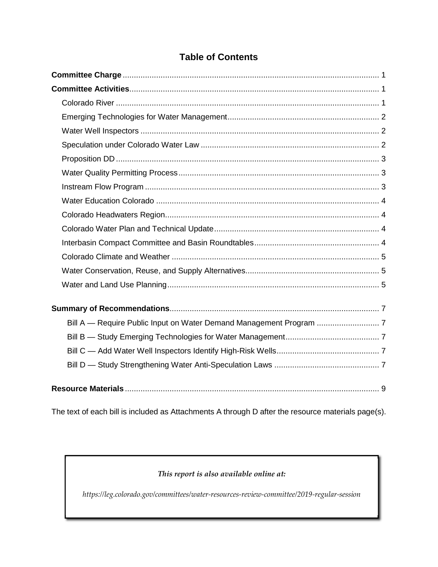# **Table of Contents**

The text of each bill is included as Attachments A through D after the resource materials page(s).

#### *This report is also available online at:*

*https://leg.colorado.gov/committees/water-resources-review-committee/2019-regular-session*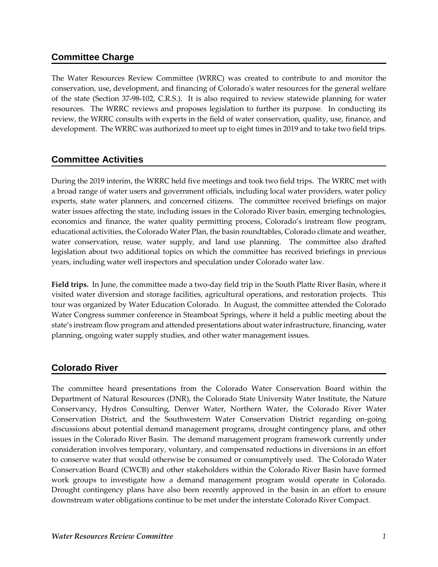## **Committee Charge**

The Water Resources Review Committee (WRRC) was created to contribute to and monitor the conservation, use, development, and financing of Colorado's water resources for the general welfare of the state (Section 37-98-102, C.R.S.). It is also required to review statewide planning for water resources. The WRRC reviews and proposes legislation to further its purpose. In conducting its review, the WRRC consults with experts in the field of water conservation, quality, use, finance, and development. The WRRC was authorized to meet up to eight times in 2019 and to take two field trips.

## **Committee Activities**

During the 2019 interim, the WRRC held five meetings and took two field trips. The WRRC met with a broad range of water users and government officials, including local water providers, water policy experts, state water planners, and concerned citizens. The committee received briefings on major water issues affecting the state, including issues in the Colorado River basin, emerging technologies, economics and finance, the water quality permitting process, Colorado's instream flow program, educational activities, the Colorado Water Plan, the basin roundtables, Colorado climate and weather, water conservation, reuse, water supply, and land use planning. The committee also drafted legislation about two additional topics on which the committee has received briefings in previous years, including water well inspectors and speculation under Colorado water law.

**Field trips.** In June, the committee made a two-day field trip in the South Platte River Basin, where it visited water diversion and storage facilities, agricultural operations, and restoration projects. This tour was organized by Water Education Colorado. In August, the committee attended the Colorado Water Congress summer conference in Steamboat Springs, where it held a public meeting about the state's instream flow program and attended presentations about water infrastructure, financing, water planning, ongoing water supply studies, and other water management issues.

# **Colorado River**

The committee heard presentations from the Colorado Water Conservation Board within the Department of Natural Resources (DNR), the Colorado State University Water Institute, the Nature Conservancy, Hydros Consulting, Denver Water, Northern Water, the Colorado River Water Conservation District, and the Southwestern Water Conservation District regarding on-going discussions about potential demand management programs, drought contingency plans, and other issues in the Colorado River Basin. The demand management program framework currently under consideration involves temporary, voluntary, and compensated reductions in diversions in an effort to conserve water that would otherwise be consumed or consumptively used. The Colorado Water Conservation Board (CWCB) and other stakeholders within the Colorado River Basin have formed work groups to investigate how a demand management program would operate in Colorado. Drought contingency plans have also been recently approved in the basin in an effort to ensure downstream water obligations continue to be met under the interstate Colorado River Compact.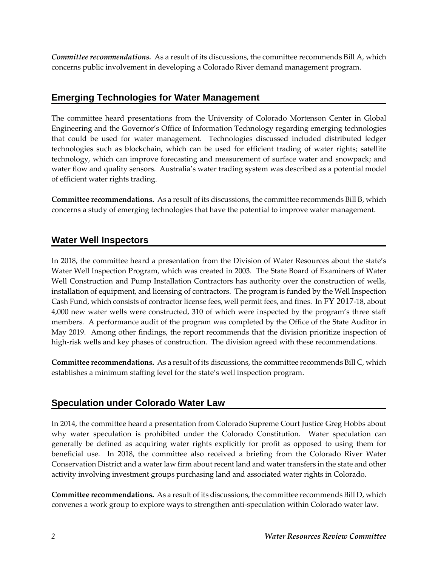*Committee recommendations.* As a result of its discussions, the committee recommends Bill A, which concerns public involvement in developing a Colorado River demand management program.

## **Emerging Technologies for Water Management**

The committee heard presentations from the University of Colorado Mortenson Center in Global Engineering and the Governor's Office of Information Technology regarding emerging technologies that could be used for water management. Technologies discussed included distributed ledger technologies such as blockchain, which can be used for efficient trading of water rights; satellite technology, which can improve forecasting and measurement of surface water and snowpack; and water flow and quality sensors. Australia's water trading system was described as a potential model of efficient water rights trading.

**Committee recommendations.** As a result of its discussions, the committee recommends Bill B, which concerns a study of emerging technologies that have the potential to improve water management.

## **Water Well Inspectors**

In 2018, the committee heard a presentation from the Division of Water Resources about the state's Water Well Inspection Program, which was created in 2003. The State Board of Examiners of Water Well Construction and Pump Installation Contractors has authority over the construction of wells, installation of equipment, and licensing of contractors. The program is funded by the Well Inspection Cash Fund, which consists of contractor license fees, well permit fees, and fines. In FY 2017-18, about 4,000 new water wells were constructed, 310 of which were inspected by the program's three staff members. A performance audit of the program was completed by the Office of the State Auditor in May 2019. Among other findings, the report recommends that the division prioritize inspection of high-risk wells and key phases of construction. The division agreed with these recommendations.

**Committee recommendations.** As a result of its discussions, the committee recommends Bill C, which establishes a minimum staffing level for the state's well inspection program.

## **Speculation under Colorado Water Law**

In 2014, the committee heard a presentation from Colorado Supreme Court Justice Greg Hobbs about why water speculation is prohibited under the Colorado Constitution. Water speculation can generally be defined as acquiring water rights explicitly for profit as opposed to using them for beneficial use. In 2018, the committee also received a briefing from the Colorado River Water Conservation District and a water law firm about recent land and water transfers in the state and other activity involving investment groups purchasing land and associated water rights in Colorado.

**Committee recommendations.** As a result of its discussions, the committee recommends Bill D, which convenes a work group to explore ways to strengthen anti-speculation within Colorado water law.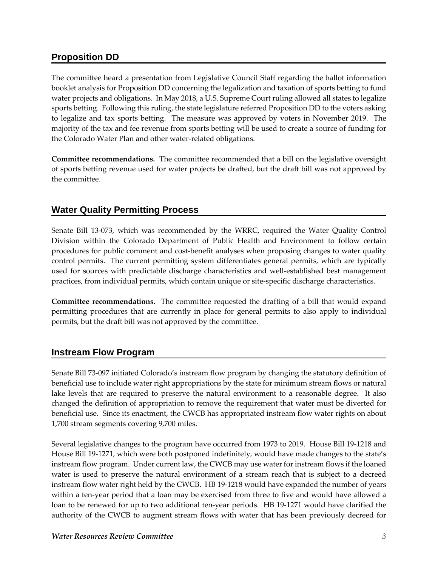## **Proposition DD**

The committee heard a presentation from Legislative Council Staff regarding the ballot information booklet analysis for Proposition DD concerning the legalization and taxation of sports betting to fund water projects and obligations. In May 2018, a U.S. Supreme Court ruling allowed all states to legalize sports betting. Following this ruling, the state legislature referred Proposition DD to the voters asking to legalize and tax sports betting. The measure was approved by voters in November 2019. The majority of the tax and fee revenue from sports betting will be used to create a source of funding for the Colorado Water Plan and other water-related obligations.

**Committee recommendations.** The committee recommended that a bill on the legislative oversight of sports betting revenue used for water projects be drafted, but the draft bill was not approved by the committee.

# **Water Quality Permitting Process**

Senate Bill 13-073, which was recommended by the WRRC, required the Water Quality Control Division within the Colorado Department of Public Health and Environment to follow certain procedures for public comment and cost-benefit analyses when proposing changes to water quality control permits. The current permitting system differentiates general permits, which are typically used for sources with predictable discharge characteristics and well-established best management practices, from individual permits, which contain unique or site-specific discharge characteristics.

**Committee recommendations.** The committee requested the drafting of a bill that would expand permitting procedures that are currently in place for general permits to also apply to individual permits, but the draft bill was not approved by the committee.

## **Instream Flow Program**

Senate Bill 73-097 initiated Colorado's instream flow program by changing the statutory definition of beneficial use to include water right appropriations by the state for minimum stream flows or natural lake levels that are required to preserve the natural environment to a reasonable degree. It also changed the definition of appropriation to remove the requirement that water must be diverted for beneficial use. Since its enactment, the CWCB has appropriated instream flow water rights on about 1,700 stream segments covering 9,700 miles.

Several legislative changes to the program have occurred from 1973 to 2019. House Bill 19-1218 and House Bill 19-1271, which were both postponed indefinitely, would have made changes to the state's instream flow program. Under current law, the CWCB may use water for instream flows if the loaned water is used to preserve the natural environment of a stream reach that is subject to a decreed instream flow water right held by the CWCB. HB 19-1218 would have expanded the number of years within a ten-year period that a loan may be exercised from three to five and would have allowed a loan to be renewed for up to two additional ten-year periods. HB 19-1271 would have clarified the authority of the CWCB to augment stream flows with water that has been previously decreed for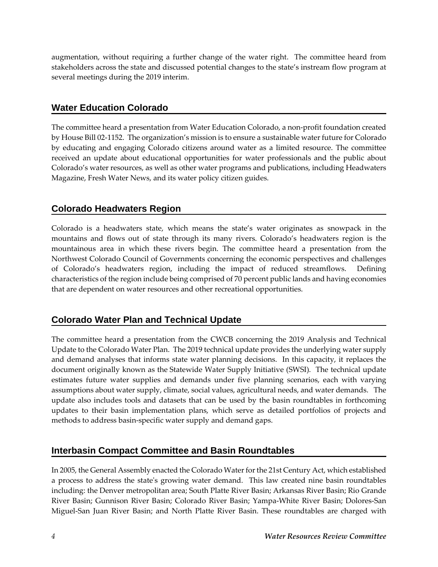augmentation, without requiring a further change of the water right. The committee heard from stakeholders across the state and discussed potential changes to the state's instream flow program at several meetings during the 2019 interim.

## **Water Education Colorado**

The committee heard a presentation from Water Education Colorado, a non-profit foundation created by House Bill 02-1152. The organization's mission is to ensure a sustainable water future for Colorado by educating and engaging Colorado citizens around water as a limited resource. The committee received an update about educational opportunities for water professionals and the public about Colorado's water resources, as well as other water programs and publications, including Headwaters Magazine, Fresh Water News, and its water policy citizen guides.

## **Colorado Headwaters Region**

Colorado is a headwaters state, which means the state's water originates as snowpack in the mountains and flows out of state through its many rivers. Colorado's headwaters region is the mountainous area in which these rivers begin. The committee heard a presentation from the Northwest Colorado Council of Governments concerning the economic perspectives and challenges of Colorado's headwaters region, including the impact of reduced streamflows. Defining characteristics of the region include being comprised of 70 percent public lands and having economies that are dependent on water resources and other recreational opportunities.

# **Colorado Water Plan and Technical Update**

The committee heard a presentation from the CWCB concerning the 2019 Analysis and Technical Update to the Colorado Water Plan. The 2019 technical update provides the underlying water supply and demand analyses that informs state water planning decisions. In this capacity, it replaces the document originally known as the Statewide Water Supply Initiative (SWSI). The technical update estimates future water supplies and demands under five planning scenarios, each with varying assumptions about water supply, climate, social values, agricultural needs, and water demands. The update also includes tools and datasets that can be used by the basin roundtables in forthcoming updates to their basin implementation plans, which serve as detailed portfolios of projects and methods to address basin-specific water supply and demand gaps.

## **Interbasin Compact Committee and Basin Roundtables**

In 2005, the General Assembly enacted the Colorado Water for the 21st Century Act, which established a process to address the state's growing water demand. This law created nine basin roundtables including: the Denver metropolitan area; South Platte River Basin; Arkansas River Basin; Rio Grande River Basin; Gunnison River Basin; Colorado River Basin; Yampa-White River Basin; Dolores-San Miguel-San Juan River Basin; and North Platte River Basin. These roundtables are charged with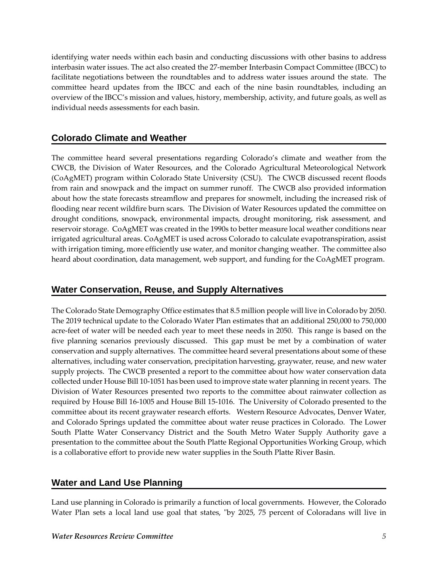identifying water needs within each basin and conducting discussions with other basins to address interbasin water issues. The act also created the 27-member Interbasin Compact Committee (IBCC) to facilitate negotiations between the roundtables and to address water issues around the state. The committee heard updates from the IBCC and each of the nine basin roundtables, including an overview of the IBCC's mission and values, history, membership, activity, and future goals, as well as individual needs assessments for each basin.

## **Colorado Climate and Weather**

The committee heard several presentations regarding Colorado's climate and weather from the CWCB, the Division of Water Resources, and the Colorado Agricultural Meteorological Network (CoAgMET) program within Colorado State University (CSU). The CWCB discussed recent floods from rain and snowpack and the impact on summer runoff. The CWCB also provided information about how the state forecasts streamflow and prepares for snowmelt, including the increased risk of flooding near recent wildfire burn scars. The Division of Water Resources updated the committee on drought conditions, snowpack, environmental impacts, drought monitoring, risk assessment, and reservoir storage. CoAgMET was created in the 1990s to better measure local weather conditions near irrigated agricultural areas. CoAgMET is used across Colorado to calculate evapotranspiration, assist with irrigation timing, more efficiently use water, and monitor changing weather. The committee also heard about coordination, data management, web support, and funding for the CoAgMET program.

## **Water Conservation, Reuse, and Supply Alternatives**

The Colorado State Demography Office estimates that 8.5 million people will live in Colorado by 2050. The 2019 technical update to the Colorado Water Plan estimates that an additional 250,000 to 750,000 acre-feet of water will be needed each year to meet these needs in 2050. This range is based on the five planning scenarios previously discussed. This gap must be met by a combination of water conservation and supply alternatives. The committee heard several presentations about some of these alternatives, including water conservation, precipitation harvesting, graywater, reuse, and new water supply projects. The CWCB presented a report to the committee about how water conservation data collected under House Bill 10-1051 has been used to improve state water planning in recent years. The Division of Water Resources presented two reports to the committee about rainwater collection as required by House Bill 16-1005 and House Bill 15-1016. The University of Colorado presented to the committee about its recent graywater research efforts. Western Resource Advocates, Denver Water, and Colorado Springs updated the committee about water reuse practices in Colorado. The Lower South Platte Water Conservancy District and the South Metro Water Supply Authority gave a presentation to the committee about the South Platte Regional Opportunities Working Group, which is a collaborative effort to provide new water supplies in the South Platte River Basin.

## **Water and Land Use Planning**

Land use planning in Colorado is primarily a function of local governments. However, the Colorado Water Plan sets a local land use goal that states, "by 2025, 75 percent of Coloradans will live in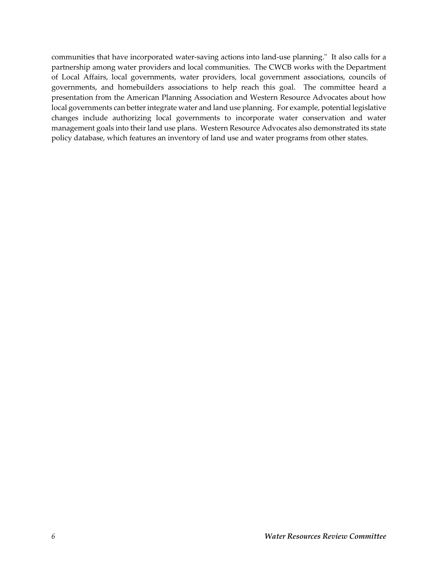communities that have incorporated water-saving actions into land-use planning." It also calls for a partnership among water providers and local communities. The CWCB works with the Department of Local Affairs, local governments, water providers, local government associations, councils of governments, and homebuilders associations to help reach this goal. The committee heard a presentation from the American Planning Association and Western Resource Advocates about how local governments can better integrate water and land use planning. For example, potential legislative changes include authorizing local governments to incorporate water conservation and water management goals into their land use plans. Western Resource Advocates also demonstrated its state policy database, which features an inventory of land use and water programs from other states.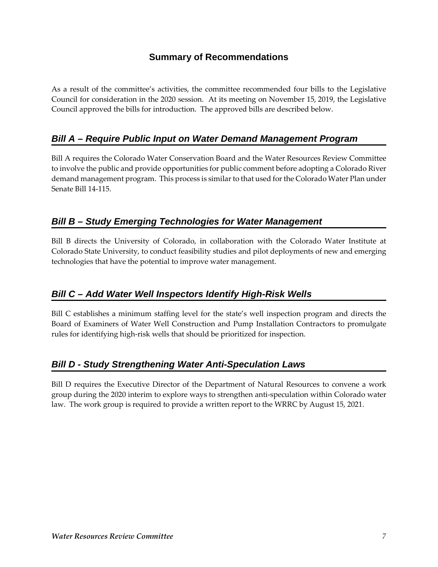## **Summary of Recommendations**

As a result of the committee's activities, the committee recommended four bills to the Legislative Council for consideration in the 2020 session. At its meeting on November 15, 2019, the Legislative Council approved the bills for introduction. The approved bills are described below.

# *Bill A – Require Public Input on Water Demand Management Program*

Bill A requires the Colorado Water Conservation Board and the Water Resources Review Committee to involve the public and provide opportunities for public comment before adopting a Colorado River demand management program. This process is similar to that used for the Colorado Water Plan under Senate Bill 14-115.

## *Bill B – Study Emerging Technologies for Water Management*

Bill B directs the University of Colorado, in collaboration with the Colorado Water Institute at Colorado State University, to conduct feasibility studies and pilot deployments of new and emerging technologies that have the potential to improve water management.

## *Bill C – Add Water Well Inspectors Identify High-Risk Wells*

Bill C establishes a minimum staffing level for the state's well inspection program and directs the Board of Examiners of Water Well Construction and Pump Installation Contractors to promulgate rules for identifying high-risk wells that should be prioritized for inspection.

## *Bill D - Study Strengthening Water Anti-Speculation Laws*

Bill D requires the Executive Director of the Department of Natural Resources to convene a work group during the 2020 interim to explore ways to strengthen anti-speculation within Colorado water law. The work group is required to provide a written report to the WRRC by August 15, 2021.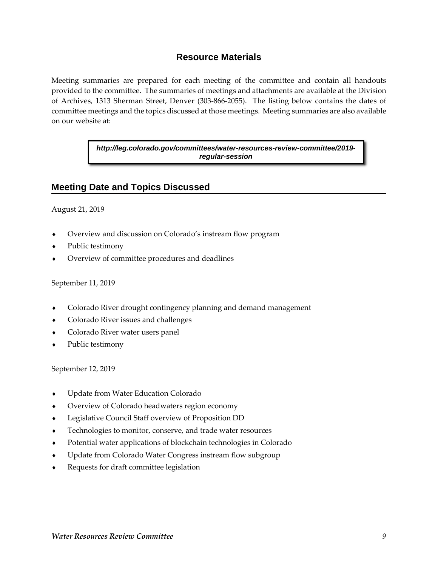## **Resource Materials**

Meeting summaries are prepared for each meeting of the committee and contain all handouts provided to the committee. The summaries of meetings and attachments are available at the Division of Archives, 1313 Sherman Street, Denver (303-866-2055). The listing below contains the dates of committee meetings and the topics discussed at those meetings. Meeting summaries are also available on our website at:

> *http://leg.colorado.gov/committees/water-resources-review-committee/2019 regular-session*

#### **Meeting Date and Topics Discussed**

August 21, 2019

- Overview and discussion on Colorado's instream flow program
- Public testimony
- Overview of committee procedures and deadlines

#### September 11, 2019

- Colorado River drought contingency planning and demand management
- Colorado River issues and challenges
- Colorado River water users panel
- Public testimony

September 12, 2019

- Update from Water Education Colorado
- Overview of Colorado headwaters region economy
- Legislative Council Staff overview of Proposition DD
- Technologies to monitor, conserve, and trade water resources
- Potential water applications of blockchain technologies in Colorado
- Update from Colorado Water Congress instream flow subgroup
- Requests for draft committee legislation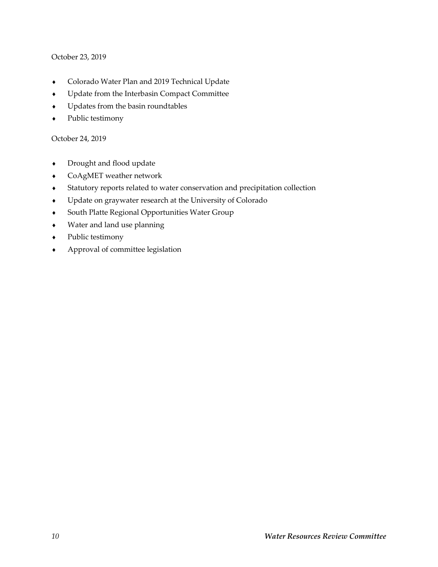#### October 23, 2019

- Colorado Water Plan and 2019 Technical Update
- Update from the Interbasin Compact Committee
- Updates from the basin roundtables
- Public testimony

#### October 24, 2019

- Drought and flood update
- CoAgMET weather network
- Statutory reports related to water conservation and precipitation collection
- Update on graywater research at the University of Colorado
- South Platte Regional Opportunities Water Group
- Water and land use planning
- Public testimony
- Approval of committee legislation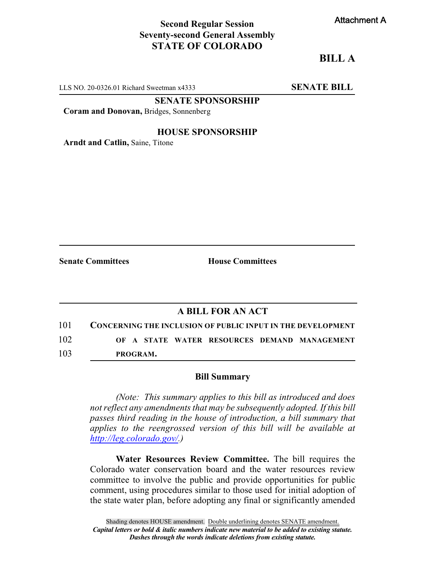## **Second Regular Session Seventy-second General Assembly STATE OF COLORADO**

## **BILL A**

LLS NO. 20-0326.01 Richard Sweetman x4333 **SENATE BILL** 

**SENATE SPONSORSHIP**

**Coram and Donovan,** Bridges, Sonnenberg

#### **HOUSE SPONSORSHIP**

**Arndt and Catlin,** Saine, Titone

**Senate Committees House Committees** 

#### **A BILL FOR AN ACT**

| 101 |  |          |  | <b>CONCERNING THE INCLUSION OF PUBLIC INPUT IN THE DEVELOPMENT</b> |
|-----|--|----------|--|--------------------------------------------------------------------|
| 102 |  |          |  | OF A STATE WATER RESOURCES DEMAND MANAGEMENT                       |
| 103 |  | PROGRAM. |  |                                                                    |

#### **Bill Summary**

*(Note: This summary applies to this bill as introduced and does not reflect any amendments that may be subsequently adopted. If this bill passes third reading in the house of introduction, a bill summary that applies to the reengrossed version of this bill will be available at <http://leg.colorado.gov/>.)*

**Water Resources Review Committee.** The bill requires the Colorado water conservation board and the water resources review committee to involve the public and provide opportunities for public comment, using procedures similar to those used for initial adoption of the state water plan, before adopting any final or significantly amended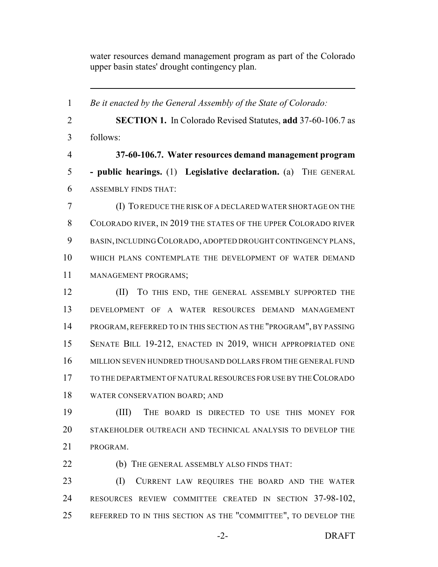water resources demand management program as part of the Colorado upper basin states' drought contingency plan.

 *Be it enacted by the General Assembly of the State of Colorado:* **SECTION 1.** In Colorado Revised Statutes, **add** 37-60-106.7 as follows: **37-60-106.7. Water resources demand management program - public hearings.** (1) **Legislative declaration.** (a) THE GENERAL ASSEMBLY FINDS THAT: (I) TO REDUCE THE RISK OF A DECLARED WATER SHORTAGE ON THE COLORADO RIVER, IN 2019 THE STATES OF THE UPPER COLORADO RIVER BASIN,INCLUDING COLORADO, ADOPTED DROUGHT CONTINGENCY PLANS, WHICH PLANS CONTEMPLATE THE DEVELOPMENT OF WATER DEMAND MANAGEMENT PROGRAMS; (II) TO THIS END, THE GENERAL ASSEMBLY SUPPORTED THE DEVELOPMENT OF A WATER RESOURCES DEMAND MANAGEMENT PROGRAM, REFERRED TO IN THIS SECTION AS THE "PROGRAM", BY PASSING SENATE BILL 19-212, ENACTED IN 2019, WHICH APPROPRIATED ONE MILLION SEVEN HUNDRED THOUSAND DOLLARS FROM THE GENERAL FUND TO THE DEPARTMENT OF NATURAL RESOURCES FOR USE BY THECOLORADO WATER CONSERVATION BOARD; AND (III) THE BOARD IS DIRECTED TO USE THIS MONEY FOR STAKEHOLDER OUTREACH AND TECHNICAL ANALYSIS TO DEVELOP THE PROGRAM. **(b)** THE GENERAL ASSEMBLY ALSO FINDS THAT: (I) CURRENT LAW REQUIRES THE BOARD AND THE WATER

 RESOURCES REVIEW COMMITTEE CREATED IN SECTION 37-98-102, REFERRED TO IN THIS SECTION AS THE "COMMITTEE", TO DEVELOP THE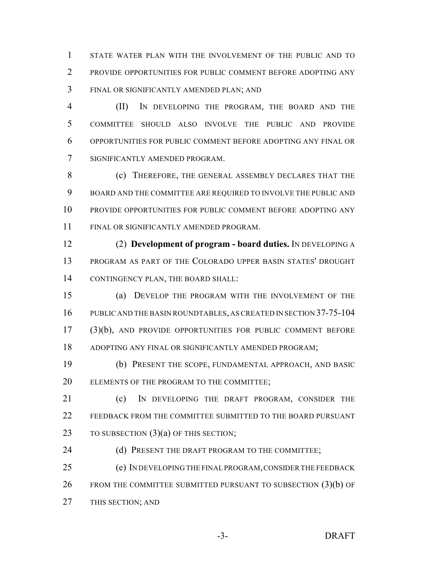STATE WATER PLAN WITH THE INVOLVEMENT OF THE PUBLIC AND TO PROVIDE OPPORTUNITIES FOR PUBLIC COMMENT BEFORE ADOPTING ANY FINAL OR SIGNIFICANTLY AMENDED PLAN; AND

 (II) IN DEVELOPING THE PROGRAM, THE BOARD AND THE COMMITTEE SHOULD ALSO INVOLVE THE PUBLIC AND PROVIDE OPPORTUNITIES FOR PUBLIC COMMENT BEFORE ADOPTING ANY FINAL OR SIGNIFICANTLY AMENDED PROGRAM.

8 (c) THEREFORE, THE GENERAL ASSEMBLY DECLARES THAT THE BOARD AND THE COMMITTEE ARE REQUIRED TO INVOLVE THE PUBLIC AND PROVIDE OPPORTUNITIES FOR PUBLIC COMMENT BEFORE ADOPTING ANY FINAL OR SIGNIFICANTLY AMENDED PROGRAM.

 (2) **Development of program - board duties.** IN DEVELOPING A PROGRAM AS PART OF THE COLORADO UPPER BASIN STATES' DROUGHT CONTINGENCY PLAN, THE BOARD SHALL:

 (a) DEVELOP THE PROGRAM WITH THE INVOLVEMENT OF THE PUBLIC AND THE BASIN ROUNDTABLES, AS CREATED IN SECTION 37-75-104 (3)(b), AND PROVIDE OPPORTUNITIES FOR PUBLIC COMMENT BEFORE ADOPTING ANY FINAL OR SIGNIFICANTLY AMENDED PROGRAM;

 (b) PRESENT THE SCOPE, FUNDAMENTAL APPROACH, AND BASIC ELEMENTS OF THE PROGRAM TO THE COMMITTEE;

 (c) IN DEVELOPING THE DRAFT PROGRAM, CONSIDER THE FEEDBACK FROM THE COMMITTEE SUBMITTED TO THE BOARD PURSUANT 23 TO SUBSECTION (3)(a) OF THIS SECTION;

24 (d) PRESENT THE DRAFT PROGRAM TO THE COMMITTEE;

 (e) IN DEVELOPING THE FINAL PROGRAM,CONSIDERTHE FEEDBACK 26 FROM THE COMMITTEE SUBMITTED PURSUANT TO SUBSECTION (3)(b) OF THIS SECTION; AND

-3- DRAFT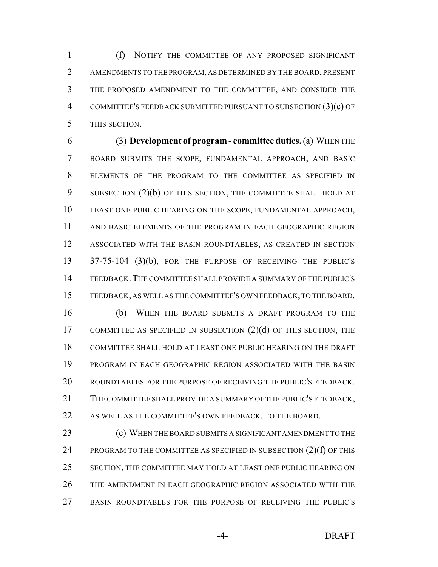(f) NOTIFY THE COMMITTEE OF ANY PROPOSED SIGNIFICANT AMENDMENTS TO THE PROGRAM, AS DETERMINED BY THE BOARD, PRESENT THE PROPOSED AMENDMENT TO THE COMMITTEE, AND CONSIDER THE COMMITTEE'S FEEDBACK SUBMITTED PURSUANT TO SUBSECTION (3)(c) OF THIS SECTION.

 (3) **Development of program - committee duties.**(a) WHEN THE BOARD SUBMITS THE SCOPE, FUNDAMENTAL APPROACH, AND BASIC ELEMENTS OF THE PROGRAM TO THE COMMITTEE AS SPECIFIED IN 9 SUBSECTION (2)(b) OF THIS SECTION, THE COMMITTEE SHALL HOLD AT LEAST ONE PUBLIC HEARING ON THE SCOPE, FUNDAMENTAL APPROACH, AND BASIC ELEMENTS OF THE PROGRAM IN EACH GEOGRAPHIC REGION ASSOCIATED WITH THE BASIN ROUNDTABLES, AS CREATED IN SECTION 13 37-75-104 (3)(b), FOR THE PURPOSE OF RECEIVING THE PUBLIC'S FEEDBACK.THE COMMITTEE SHALL PROVIDE A SUMMARY OF THE PUBLIC'S FEEDBACK, AS WELL AS THE COMMITTEE'S OWN FEEDBACK,TO THE BOARD.

 (b) WHEN THE BOARD SUBMITS A DRAFT PROGRAM TO THE 17 COMMITTEE AS SPECIFIED IN SUBSECTION (2)(d) OF THIS SECTION, THE COMMITTEE SHALL HOLD AT LEAST ONE PUBLIC HEARING ON THE DRAFT PROGRAM IN EACH GEOGRAPHIC REGION ASSOCIATED WITH THE BASIN ROUNDTABLES FOR THE PURPOSE OF RECEIVING THE PUBLIC'S FEEDBACK. THE COMMITTEE SHALL PROVIDE A SUMMARY OF THE PUBLIC'S FEEDBACK, AS WELL AS THE COMMITTEE'S OWN FEEDBACK, TO THE BOARD.

**(c) WHEN THE BOARD SUBMITS A SIGNIFICANT AMENDMENT TO THE** 24 PROGRAM TO THE COMMITTEE AS SPECIFIED IN SUBSECTION (2)(f) OF THIS SECTION, THE COMMITTEE MAY HOLD AT LEAST ONE PUBLIC HEARING ON THE AMENDMENT IN EACH GEOGRAPHIC REGION ASSOCIATED WITH THE BASIN ROUNDTABLES FOR THE PURPOSE OF RECEIVING THE PUBLIC'S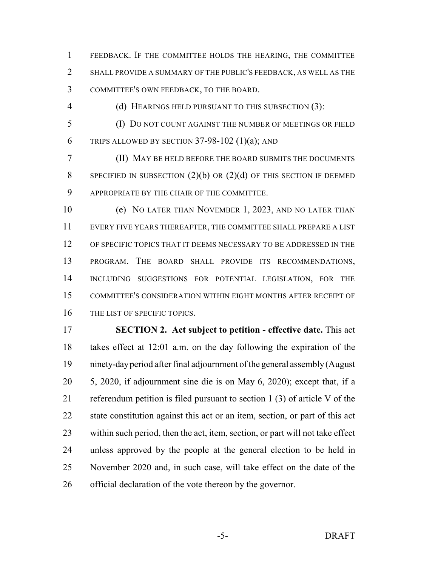FEEDBACK. IF THE COMMITTEE HOLDS THE HEARING, THE COMMITTEE SHALL PROVIDE A SUMMARY OF THE PUBLIC'S FEEDBACK, AS WELL AS THE COMMITTEE'S OWN FEEDBACK, TO THE BOARD.

(d) HEARINGS HELD PURSUANT TO THIS SUBSECTION (3):

 (I) DO NOT COUNT AGAINST THE NUMBER OF MEETINGS OR FIELD 6 TRIPS ALLOWED BY SECTION  $37-98-102$  (1)(a); AND

 (II) MAY BE HELD BEFORE THE BOARD SUBMITS THE DOCUMENTS 8 SPECIFIED IN SUBSECTION  $(2)(b)$  or  $(2)(d)$  of this section if deemed APPROPRIATE BY THE CHAIR OF THE COMMITTEE.

 (e) NO LATER THAN NOVEMBER 1, 2023, AND NO LATER THAN EVERY FIVE YEARS THEREAFTER, THE COMMITTEE SHALL PREPARE A LIST OF SPECIFIC TOPICS THAT IT DEEMS NECESSARY TO BE ADDRESSED IN THE PROGRAM. THE BOARD SHALL PROVIDE ITS RECOMMENDATIONS, INCLUDING SUGGESTIONS FOR POTENTIAL LEGISLATION, FOR THE COMMITTEE'S CONSIDERATION WITHIN EIGHT MONTHS AFTER RECEIPT OF 16 THE LIST OF SPECIFIC TOPICS.

 **SECTION 2. Act subject to petition - effective date.** This act takes effect at 12:01 a.m. on the day following the expiration of the ninety-dayperiod after final adjournment ofthe general assembly(August 5, 2020, if adjournment sine die is on May 6, 2020); except that, if a referendum petition is filed pursuant to section 1 (3) of article V of the state constitution against this act or an item, section, or part of this act within such period, then the act, item, section, or part will not take effect unless approved by the people at the general election to be held in November 2020 and, in such case, will take effect on the date of the official declaration of the vote thereon by the governor.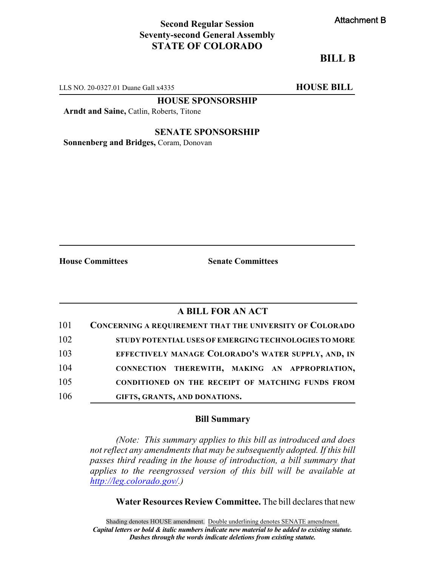## **Second Regular Session Seventy-second General Assembly STATE OF COLORADO**

# **BILL B**

LLS NO. 20-0327.01 Duane Gall x4335 **HOUSE BILL** 

**HOUSE SPONSORSHIP**

**Arndt and Saine,** Catlin, Roberts, Titone

**SENATE SPONSORSHIP**

**Sonnenberg and Bridges,** Coram, Donovan

**House Committees Senate Committees**

# **A BILL FOR AN ACT**

| 101 | <b>CONCERNING A REQUIREMENT THAT THE UNIVERSITY OF COLORADO</b> |
|-----|-----------------------------------------------------------------|
| 102 | STUDY POTENTIAL USES OF EMERGING TECHNOLOGIES TO MORE           |
| 103 | EFFECTIVELY MANAGE COLORADO'S WATER SUPPLY, AND, IN             |
| 104 | CONNECTION THEREWITH, MAKING AN APPROPRIATION,                  |
| 105 | CONDITIONED ON THE RECEIPT OF MATCHING FUNDS FROM               |
| 106 | GIFTS, GRANTS, AND DONATIONS.                                   |

#### **Bill Summary**

*(Note: This summary applies to this bill as introduced and does not reflect any amendments that may be subsequently adopted. If this bill passes third reading in the house of introduction, a bill summary that applies to the reengrossed version of this bill will be available at <http://leg.colorado.gov/>.)*

**Water Resources Review Committee.** The bill declares that new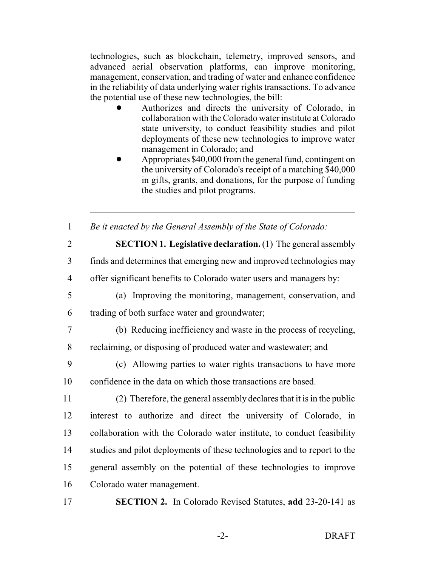technologies, such as blockchain, telemetry, improved sensors, and advanced aerial observation platforms, can improve monitoring, management, conservation, and trading of water and enhance confidence in the reliability of data underlying water rights transactions. To advance the potential use of these new technologies, the bill:

- ! Authorizes and directs the university of Colorado, in collaboration with the Colorado water institute at Colorado state university, to conduct feasibility studies and pilot deployments of these new technologies to improve water management in Colorado; and
- ! Appropriates \$40,000 from the general fund, contingent on the university of Colorado's receipt of a matching \$40,000 in gifts, grants, and donations, for the purpose of funding the studies and pilot programs.
- 1 *Be it enacted by the General Assembly of the State of Colorado:*
- 

2 **SECTION 1. Legislative declaration.** (1) The general assembly

3 finds and determines that emerging new and improved technologies may

4 offer significant benefits to Colorado water users and managers by:

5 (a) Improving the monitoring, management, conservation, and

6 trading of both surface water and groundwater;

7 (b) Reducing inefficiency and waste in the process of recycling, 8 reclaiming, or disposing of produced water and wastewater; and

9 (c) Allowing parties to water rights transactions to have more 10 confidence in the data on which those transactions are based.

 (2) Therefore, the general assembly declares that it is in the public interest to authorize and direct the university of Colorado, in collaboration with the Colorado water institute, to conduct feasibility studies and pilot deployments of these technologies and to report to the general assembly on the potential of these technologies to improve Colorado water management.

17 **SECTION 2.** In Colorado Revised Statutes, **add** 23-20-141 as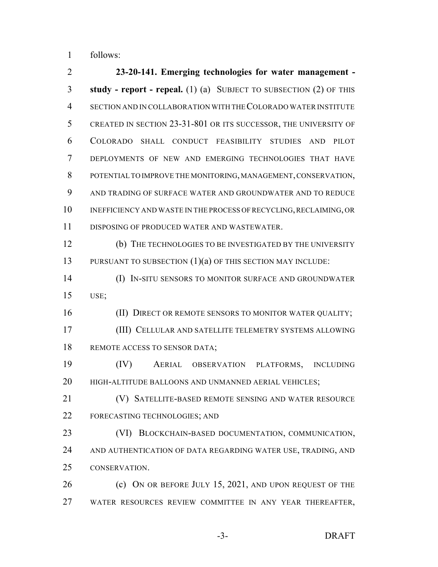follows:

 **23-20-141. Emerging technologies for water management - study - report - repeal.** (1) (a) SUBJECT TO SUBSECTION (2) OF THIS SECTION AND IN COLLABORATION WITH THECOLORADO WATER INSTITUTE CREATED IN SECTION 23-31-801 OR ITS SUCCESSOR, THE UNIVERSITY OF COLORADO SHALL CONDUCT FEASIBILITY STUDIES AND PILOT DEPLOYMENTS OF NEW AND EMERGING TECHNOLOGIES THAT HAVE 8 POTENTIAL TO IMPROVE THE MONITORING, MANAGEMENT, CONSERVATION, AND TRADING OF SURFACE WATER AND GROUNDWATER AND TO REDUCE 10 INEFFICIENCY AND WASTE IN THE PROCESS OF RECYCLING, RECLAIMING, OR DISPOSING OF PRODUCED WATER AND WASTEWATER. (b) THE TECHNOLOGIES TO BE INVESTIGATED BY THE UNIVERSITY 13 PURSUANT TO SUBSECTION (1)(a) OF THIS SECTION MAY INCLUDE: (I) IN-SITU SENSORS TO MONITOR SURFACE AND GROUNDWATER USE; 16 (II) DIRECT OR REMOTE SENSORS TO MONITOR WATER QUALITY; (III) CELLULAR AND SATELLITE TELEMETRY SYSTEMS ALLOWING 18 REMOTE ACCESS TO SENSOR DATA; (IV) AERIAL OBSERVATION PLATFORMS, INCLUDING 20 HIGH-ALTITUDE BALLOONS AND UNMANNED AERIAL VEHICLES; (V) SATELLITE-BASED REMOTE SENSING AND WATER RESOURCE FORECASTING TECHNOLOGIES; AND (VI) BLOCKCHAIN-BASED DOCUMENTATION, COMMUNICATION, 24 AND AUTHENTICATION OF DATA REGARDING WATER USE, TRADING, AND CONSERVATION. **(c)** ON OR BEFORE JULY 15, 2021, AND UPON REQUEST OF THE WATER RESOURCES REVIEW COMMITTEE IN ANY YEAR THEREAFTER,

-3- DRAFT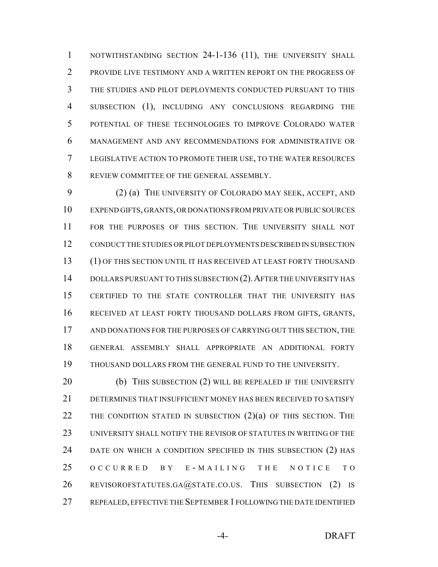1 NOTWITHSTANDING SECTION 24-1-136 (11), THE UNIVERSITY SHALL PROVIDE LIVE TESTIMONY AND A WRITTEN REPORT ON THE PROGRESS OF THE STUDIES AND PILOT DEPLOYMENTS CONDUCTED PURSUANT TO THIS 4 SUBSECTION (1), INCLUDING ANY CONCLUSIONS REGARDING THE POTENTIAL OF THESE TECHNOLOGIES TO IMPROVE COLORADO WATER MANAGEMENT AND ANY RECOMMENDATIONS FOR ADMINISTRATIVE OR LEGISLATIVE ACTION TO PROMOTE THEIR USE, TO THE WATER RESOURCES REVIEW COMMITTEE OF THE GENERAL ASSEMBLY.

 (2) (a) THE UNIVERSITY OF COLORADO MAY SEEK, ACCEPT, AND EXPEND GIFTS, GRANTS, OR DONATIONS FROM PRIVATE ORPUBLICSOURCES FOR THE PURPOSES OF THIS SECTION. THE UNIVERSITY SHALL NOT CONDUCT THE STUDIES ORPILOT DEPLOYMENTS DESCRIBED IN SUBSECTION (1) OF THIS SECTION UNTIL IT HAS RECEIVED AT LEAST FORTY THOUSAND 14 DOLLARS PURSUANT TO THIS SUBSECTION (2). AFTER THE UNIVERSITY HAS CERTIFIED TO THE STATE CONTROLLER THAT THE UNIVERSITY HAS RECEIVED AT LEAST FORTY THOUSAND DOLLARS FROM GIFTS, GRANTS, AND DONATIONS FOR THE PURPOSES OF CARRYING OUT THIS SECTION, THE GENERAL ASSEMBLY SHALL APPROPRIATE AN ADDITIONAL FORTY THOUSAND DOLLARS FROM THE GENERAL FUND TO THE UNIVERSITY.

20 (b) THIS SUBSECTION (2) WILL BE REPEALED IF THE UNIVERSITY DETERMINES THAT INSUFFICIENT MONEY HAS BEEN RECEIVED TO SATISFY 22 THE CONDITION STATED IN SUBSECTION  $(2)(a)$  of this section. The 23 UNIVERSITY SHALL NOTIFY THE REVISOR OF STATUTES IN WRITING OF THE DATE ON WHICH A CONDITION SPECIFIED IN THIS SUBSECTION (2) HAS 25 OCCURRED BY E-MAILING THE NOTICE TO 26 REVISOROFSTATUTES.GA@STATE.CO.US. THIS SUBSECTION (2) IS REPEALED,EFFECTIVE THE SEPTEMBER 1 FOLLOWING THE DATE IDENTIFIED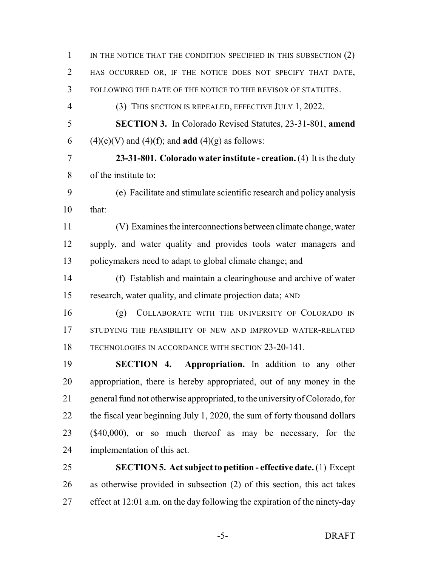| $\mathbf{1}$   | IN THE NOTICE THAT THE CONDITION SPECIFIED IN THIS SUBSECTION $(2)$         |
|----------------|-----------------------------------------------------------------------------|
| 2              | HAS OCCURRED OR, IF THE NOTICE DOES NOT SPECIFY THAT DATE,                  |
| 3              | FOLLOWING THE DATE OF THE NOTICE TO THE REVISOR OF STATUTES.                |
| $\overline{4}$ | (3) THIS SECTION IS REPEALED, EFFECTIVE JULY 1, 2022.                       |
| 5              | <b>SECTION 3.</b> In Colorado Revised Statutes, 23-31-801, amend            |
| 6              | $(4)(e)(V)$ and $(4)(f)$ ; and <b>add</b> $(4)(g)$ as follows:              |
| 7              | 23-31-801. Colorado water institute - creation. $(4)$ It is the duty        |
| 8              | of the institute to:                                                        |
| 9              | (e) Facilitate and stimulate scientific research and policy analysis        |
| 10             | that:                                                                       |
| 11             | (V) Examines the interconnections between climate change, water             |
| 12             | supply, and water quality and provides tools water managers and             |
| 13             | policymakers need to adapt to global climate change; and                    |
| 14             | (f) Establish and maintain a clearinghouse and archive of water             |
| 15             | research, water quality, and climate projection data; AND                   |
| 16             | COLLABORATE WITH THE UNIVERSITY OF COLORADO IN<br>(g)                       |
| 17             | STUDYING THE FEASIBILITY OF NEW AND IMPROVED WATER-RELATED                  |
| 18             | TECHNOLOGIES IN ACCORDANCE WITH SECTION 23-20-141.                          |
| 19             | <b>SECTION 4. Appropriation.</b> In addition to any other                   |
| 20             | appropriation, there is hereby appropriated, out of any money in the        |
| 21             | general fund not otherwise appropriated, to the university of Colorado, for |
| 22             | the fiscal year beginning July 1, 2020, the sum of forty thousand dollars   |
| 23             | $(\$40,000)$ , or so much thereof as may be necessary, for the              |
| 24             | implementation of this act.                                                 |
| 25             | <b>SECTION 5. Act subject to petition - effective date.</b> (1) Except      |
| 26             | as otherwise provided in subsection (2) of this section, this act takes     |
|                |                                                                             |

effect at 12:01 a.m. on the day following the expiration of the ninety-day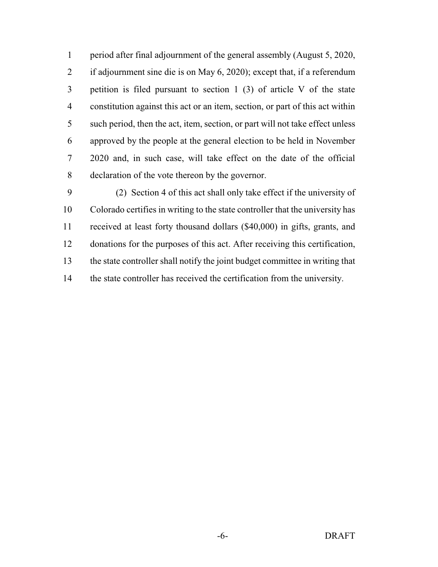period after final adjournment of the general assembly (August 5, 2020, if adjournment sine die is on May 6, 2020); except that, if a referendum petition is filed pursuant to section 1 (3) of article V of the state constitution against this act or an item, section, or part of this act within such period, then the act, item, section, or part will not take effect unless approved by the people at the general election to be held in November 2020 and, in such case, will take effect on the date of the official declaration of the vote thereon by the governor.

 (2) Section 4 of this act shall only take effect if the university of Colorado certifies in writing to the state controller that the university has received at least forty thousand dollars (\$40,000) in gifts, grants, and donations for the purposes of this act. After receiving this certification, the state controller shall notify the joint budget committee in writing that the state controller has received the certification from the university.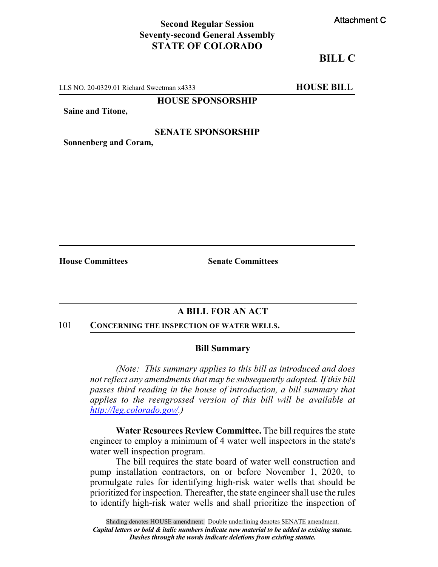## **Second Regular Session Seventy-second General Assembly STATE OF COLORADO**

## **BILL C**

LLS NO. 20-0329.01 Richard Sweetman x4333 **HOUSE BILL** 

#### **HOUSE SPONSORSHIP**

**Saine and Titone,**

#### **SENATE SPONSORSHIP**

**Sonnenberg and Coram,**

**House Committees Senate Committees**

## **A BILL FOR AN ACT**

#### 101 **CONCERNING THE INSPECTION OF WATER WELLS.**

#### **Bill Summary**

*(Note: This summary applies to this bill as introduced and does not reflect any amendments that may be subsequently adopted. If this bill passes third reading in the house of introduction, a bill summary that applies to the reengrossed version of this bill will be available at <http://leg.colorado.gov/>.)*

**Water Resources Review Committee.** The bill requires the state engineer to employ a minimum of 4 water well inspectors in the state's water well inspection program.

The bill requires the state board of water well construction and pump installation contractors, on or before November 1, 2020, to promulgate rules for identifying high-risk water wells that should be prioritized for inspection. Thereafter, the state engineer shall use the rules to identify high-risk water wells and shall prioritize the inspection of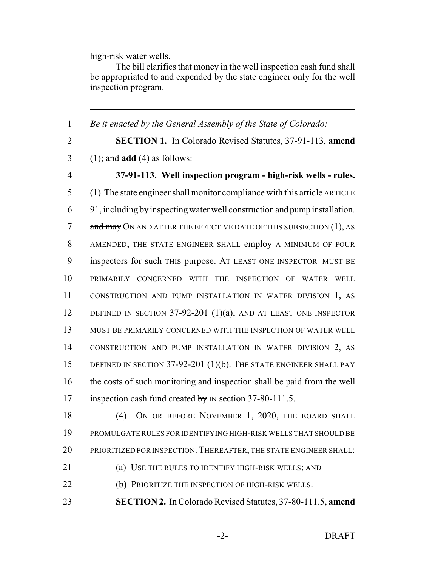high-risk water wells.

The bill clarifies that money in the well inspection cash fund shall be appropriated to and expended by the state engineer only for the well inspection program.

1 *Be it enacted by the General Assembly of the State of Colorado:* 2 **SECTION 1.** In Colorado Revised Statutes, 37-91-113, **amend** 3 (1); and **add** (4) as follows: 4 **37-91-113. Well inspection program - high-risk wells - rules.** 5 (1) The state engineer shall monitor compliance with this article ARTICLE 6 91, including byinspecting water well construction and pump installation. 7 and may ON AND AFTER THE EFFECTIVE DATE OF THIS SUBSECTION (1), AS 8 AMENDED, THE STATE ENGINEER SHALL employ A MINIMUM OF FOUR 9 inspectors for such THIS purpose. AT LEAST ONE INSPECTOR MUST BE 10 PRIMARILY CONCERNED WITH THE INSPECTION OF WATER WELL 11 CONSTRUCTION AND PUMP INSTALLATION IN WATER DIVISION 1, AS 12 DEFINED IN SECTION 37-92-201 (1)(a), AND AT LEAST ONE INSPECTOR 13 MUST BE PRIMARILY CONCERNED WITH THE INSPECTION OF WATER WELL 14 CONSTRUCTION AND PUMP INSTALLATION IN WATER DIVISION 2, AS 15 DEFINED IN SECTION 37-92-201 (1)(b). THE STATE ENGINEER SHALL PAY 16 the costs of such monitoring and inspection shall be paid from the well 17 inspection cash fund created by IN section 37-80-111.5. 18 (4) ON OR BEFORE NOVEMBER 1, 2020, THE BOARD SHALL 19 PROMULGATE RULES FOR IDENTIFYING HIGH-RISK WELLS THAT SHOULD BE 20 PRIORITIZED FOR INSPECTION. THEREAFTER, THE STATE ENGINEER SHALL:

21 (a) USE THE RULES TO IDENTIFY HIGH-RISK WELLS; AND

22 (b) PRIORITIZE THE INSPECTION OF HIGH-RISK WELLS.

23 **SECTION 2.** In Colorado Revised Statutes, 37-80-111.5, **amend**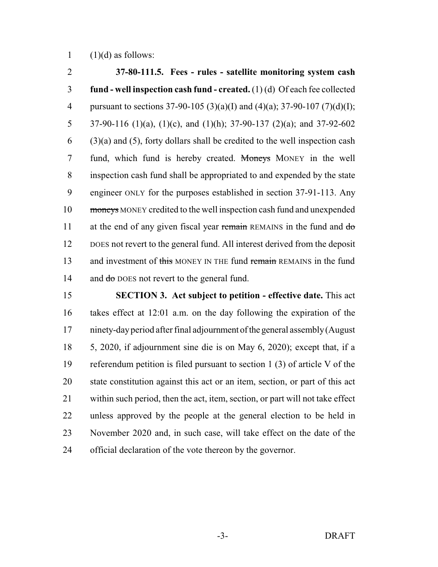1  $(1)(d)$  as follows:

 **37-80-111.5. Fees - rules - satellite monitoring system cash fund - well inspection cash fund - created.** (1) (d) Of each fee collected 4 pursuant to sections 37-90-105 (3)(a)(I) and (4)(a); 37-90-107 (7)(d)(I); 5 37-90-116 (1)(a), (1)(c), and (1)(h); 37-90-137 (2)(a); and 37-92-602  $(3)(a)$  and  $(5)$ , forty dollars shall be credited to the well inspection cash 7 fund, which fund is hereby created. Moneys MONEY in the well inspection cash fund shall be appropriated to and expended by the state engineer ONLY for the purposes established in section 37-91-113. Any moneys MONEY credited to the well inspection cash fund and unexpended 11 at the end of any given fiscal year remain REMAINS in the fund and do DOES not revert to the general fund. All interest derived from the deposit 13 and investment of this MONEY IN THE fund remain REMAINS in the fund 14 and  $d\sigma$  DOES not revert to the general fund.

 **SECTION 3. Act subject to petition - effective date.** This act takes effect at 12:01 a.m. on the day following the expiration of the ninety-dayperiod after final adjournment of the general assembly(August 5, 2020, if adjournment sine die is on May 6, 2020); except that, if a referendum petition is filed pursuant to section 1 (3) of article V of the state constitution against this act or an item, section, or part of this act within such period, then the act, item, section, or part will not take effect unless approved by the people at the general election to be held in November 2020 and, in such case, will take effect on the date of the official declaration of the vote thereon by the governor.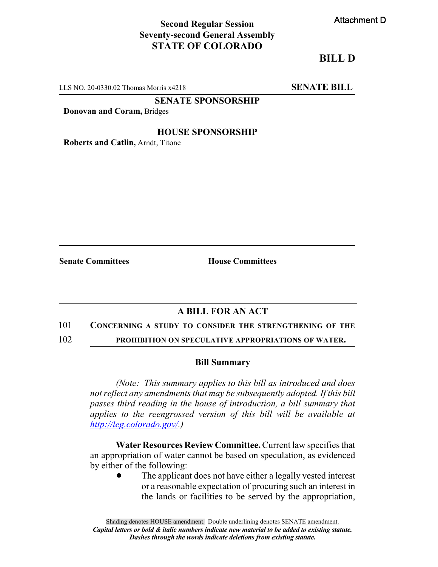## **Second Regular Session Seventy-second General Assembly STATE OF COLORADO**

## **BILL D**

LLS NO. 20-0330.02 Thomas Morris x4218 **SENATE BILL** 

**SENATE SPONSORSHIP**

**Donovan and Coram,** Bridges

#### **HOUSE SPONSORSHIP**

**Roberts and Catlin,** Arndt, Titone

**Senate Committees House Committees** 

# **A BILL FOR AN ACT**

#### 101 **CONCERNING A STUDY TO CONSIDER THE STRENGTHENING OF THE**

102 **PROHIBITION ON SPECULATIVE APPROPRIATIONS OF WATER.**

#### **Bill Summary**

*(Note: This summary applies to this bill as introduced and does not reflect any amendments that may be subsequently adopted. If this bill passes third reading in the house of introduction, a bill summary that applies to the reengrossed version of this bill will be available at <http://leg.colorado.gov/>.)*

**Water Resources Review Committee.**Current law specifies that an appropriation of water cannot be based on speculation, as evidenced by either of the following:

> The applicant does not have either a legally vested interest or a reasonable expectation of procuring such an interest in the lands or facilities to be served by the appropriation,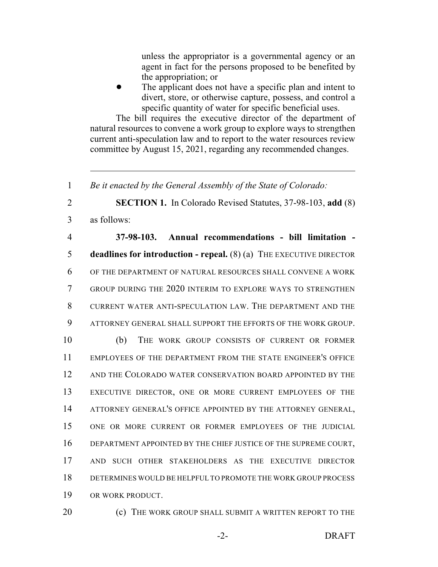unless the appropriator is a governmental agency or an agent in fact for the persons proposed to be benefited by the appropriation; or

The applicant does not have a specific plan and intent to divert, store, or otherwise capture, possess, and control a specific quantity of water for specific beneficial uses.

The bill requires the executive director of the department of natural resources to convene a work group to explore ways to strengthen current anti-speculation law and to report to the water resources review committee by August 15, 2021, regarding any recommended changes.

1 *Be it enacted by the General Assembly of the State of Colorado:*

2 **SECTION 1.** In Colorado Revised Statutes, 37-98-103, **add** (8) 3 as follows:

 **37-98-103. Annual recommendations - bill limitation - deadlines for introduction - repeal.** (8) (a) THE EXECUTIVE DIRECTOR OF THE DEPARTMENT OF NATURAL RESOURCES SHALL CONVENE A WORK GROUP DURING THE 2020 INTERIM TO EXPLORE WAYS TO STRENGTHEN CURRENT WATER ANTI-SPECULATION LAW. THE DEPARTMENT AND THE ATTORNEY GENERAL SHALL SUPPORT THE EFFORTS OF THE WORK GROUP.

 (b) THE WORK GROUP CONSISTS OF CURRENT OR FORMER EMPLOYEES OF THE DEPARTMENT FROM THE STATE ENGINEER'S OFFICE 12 AND THE COLORADO WATER CONSERVATION BOARD APPOINTED BY THE EXECUTIVE DIRECTOR, ONE OR MORE CURRENT EMPLOYEES OF THE 14 ATTORNEY GENERAL'S OFFICE APPOINTED BY THE ATTORNEY GENERAL, ONE OR MORE CURRENT OR FORMER EMPLOYEES OF THE JUDICIAL DEPARTMENT APPOINTED BY THE CHIEF JUSTICE OF THE SUPREME COURT, AND SUCH OTHER STAKEHOLDERS AS THE EXECUTIVE DIRECTOR DETERMINES WOULD BE HELPFUL TO PROMOTE THE WORK GROUP PROCESS OR WORK PRODUCT.

20 **(c)** THE WORK GROUP SHALL SUBMIT A WRITTEN REPORT TO THE